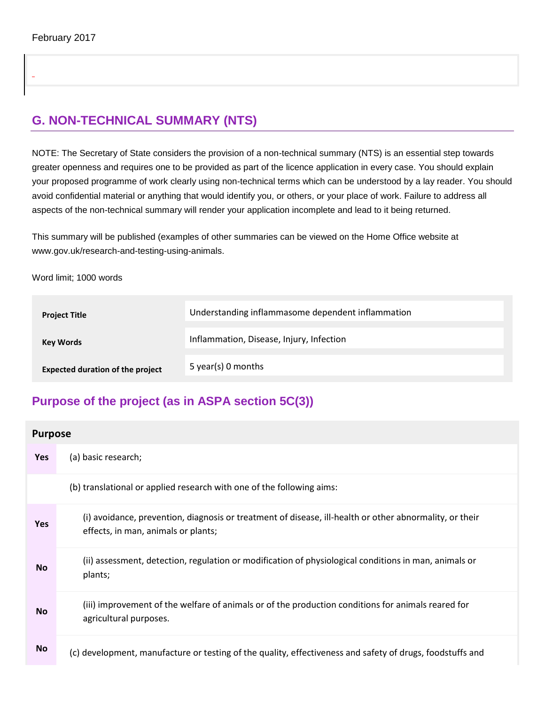# **G. NON-TECHNICAL SUMMARY (NTS)**

NOTE: The Secretary of State considers the provision of a non-technical summary (NTS) is an essential step towards greater openness and requires one to be provided as part of the licence application in every case. You should explain your proposed programme of work clearly using non-technical terms which can be understood by a lay reader. You should avoid confidential material or anything that would identify you, or others, or your place of work. Failure to address all aspects of the non-technical summary will render your application incomplete and lead to it being returned.

This summary will be published (examples of other summaries can be viewed on the Home Office website at www.gov.uk/research-and-testing-using-animals.

Word limit; 1000 words

| <b>Project Title</b>                    | Understanding inflammasome dependent inflammation |
|-----------------------------------------|---------------------------------------------------|
| <b>Key Words</b>                        | Inflammation, Disease, Injury, Infection          |
| <b>Expected duration of the project</b> | 5 year(s) 0 months                                |

## **Purpose of the project (as in ASPA section 5C(3))**

| <b>Purpose</b> |                                                                                                                                                |
|----------------|------------------------------------------------------------------------------------------------------------------------------------------------|
| Yes            | (a) basic research;                                                                                                                            |
|                | (b) translational or applied research with one of the following aims:                                                                          |
| Yes            | (i) avoidance, prevention, diagnosis or treatment of disease, ill-health or other abnormality, or their<br>effects, in man, animals or plants; |
| <b>No</b>      | (ii) assessment, detection, regulation or modification of physiological conditions in man, animals or<br>plants;                               |
| <b>No</b>      | (iii) improvement of the welfare of animals or of the production conditions for animals reared for<br>agricultural purposes.                   |
| <b>No</b>      | (c) development, manufacture or testing of the quality, effectiveness and safety of drugs, foodstuffs and                                      |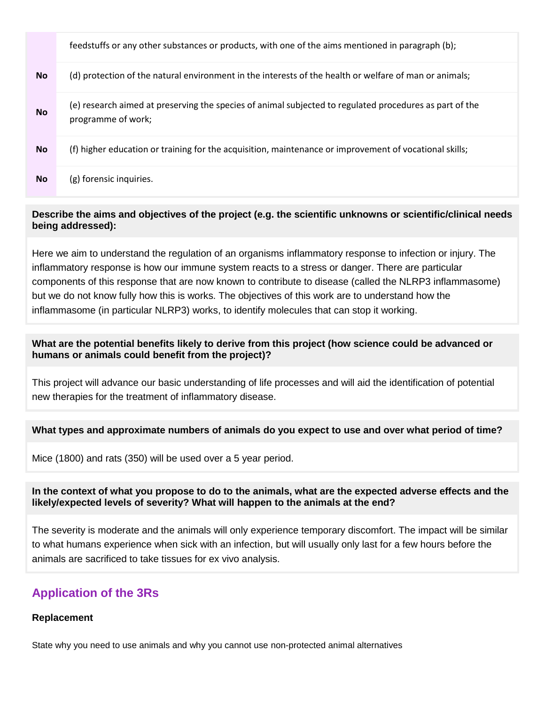|           | feedstuffs or any other substances or products, with one of the aims mentioned in paragraph (b);                              |
|-----------|-------------------------------------------------------------------------------------------------------------------------------|
| <b>No</b> | (d) protection of the natural environment in the interests of the health or welfare of man or animals;                        |
| <b>No</b> | (e) research aimed at preserving the species of animal subjected to regulated procedures as part of the<br>programme of work; |
| <b>No</b> | (f) higher education or training for the acquisition, maintenance or improvement of vocational skills;                        |
| <b>No</b> | (g) forensic inquiries.                                                                                                       |

### **Describe the aims and objectives of the project (e.g. the scientific unknowns or scientific/clinical needs being addressed):**

Here we aim to understand the regulation of an organisms inflammatory response to infection or injury. The inflammatory response is how our immune system reacts to a stress or danger. There are particular components of this response that are now known to contribute to disease (called the NLRP3 inflammasome) but we do not know fully how this is works. The objectives of this work are to understand how the inflammasome (in particular NLRP3) works, to identify molecules that can stop it working.

### **What are the potential benefits likely to derive from this project (how science could be advanced or humans or animals could benefit from the project)?**

This project will advance our basic understanding of life processes and will aid the identification of potential new therapies for the treatment of inflammatory disease.

## **What types and approximate numbers of animals do you expect to use and over what period of time?**

Mice (1800) and rats (350) will be used over a 5 year period.

## **In the context of what you propose to do to the animals, what are the expected adverse effects and the likely/expected levels of severity? What will happen to the animals at the end?**

The severity is moderate and the animals will only experience temporary discomfort. The impact will be similar to what humans experience when sick with an infection, but will usually only last for a few hours before the animals are sacrificed to take tissues for ex vivo analysis.

## **Application of the 3Rs**

## **Replacement**

State why you need to use animals and why you cannot use non-protected animal alternatives